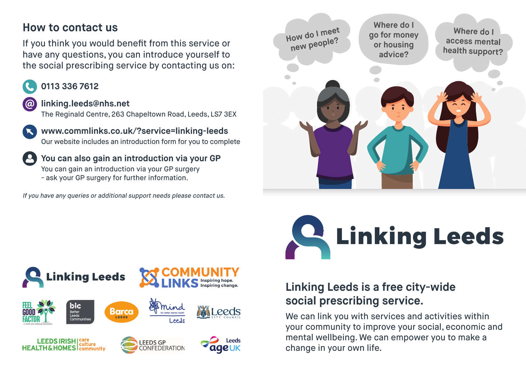#### **How to contact us**

If you think you would benefit from this service or have any questions, you can introduce yourself to the social prescribing service by contacting us on:

#### **0113 336 7612**

#### **linking.leeds@nhs.net**  $\omega$

The Reginald Centre, 263 Chapeltown Road, Leeds, LS7 3EX

**www.commlinks.co.uk/?service=linking-leeds** Our website includes an introduction form for you to complete

**You can also gain an introduction via your GP** You can gain an introduction via your GP surgery - ask your GP surgery for further information.

If you have any queries or additional support needs please contact us.



# C Linking Leeds

#### nking Leeds blc Barca *Leeds* Better<br>Leeds Communities LEEDS IRISH | care Leeds **EEDS GP HEALTH & HOMES** Community **CONFEDERATION IGE UK**

#### **Linking Leeds is a free city-wide social prescribing service.**

We can link you with services and activities within your community to improve your social, economic and mental wellbeing. We can empower you to make a change in your own life.